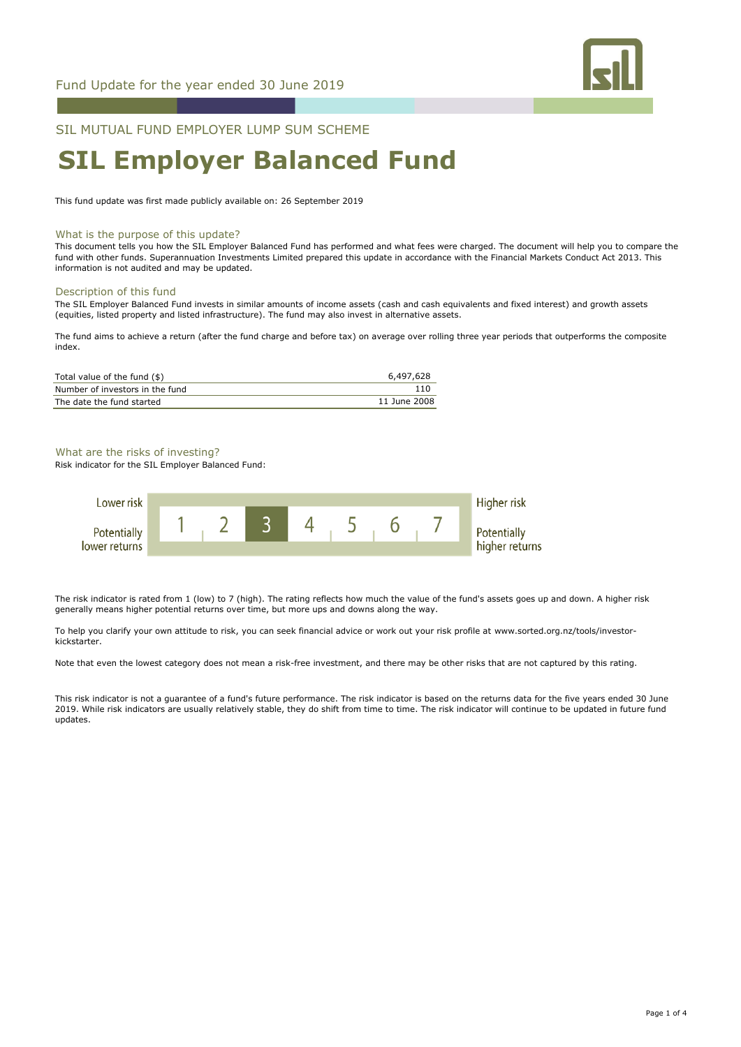

SIL MUTUAL FUND EMPLOYER LUMP SUM SCHEME

# **SIL Employer Balanced Fund**

This fund update was first made publicly available on: 26 September 2019

# What is the purpose of this update?

This document tells you how the SIL Employer Balanced Fund has performed and what fees were charged. The document will help you to compare the fund with other funds. Superannuation Investments Limited prepared this update in accordance with the Financial Markets Conduct Act 2013. This information is not audited and may be updated.

# Description of this fund

The SIL Employer Balanced Fund invests in similar amounts of income assets (cash and cash equivalents and fixed interest) and growth assets (equities, listed property and listed infrastructure). The fund may also invest in alternative assets.

The fund aims to achieve a return (after the fund charge and before tax) on average over rolling three year periods that outperforms the composite index.

| Total value of the fund (\$)    | 6,497,628    |
|---------------------------------|--------------|
| Number of investors in the fund | 110          |
| The date the fund started       | 11 June 2008 |

# What are the risks of investing?

Risk indicator for the SIL Employer Balanced Fund:



The risk indicator is rated from 1 (low) to 7 (high). The rating reflects how much the value of the fund's assets goes up and down. A higher risk generally means higher potential returns over time, but more ups and downs along the way.

To help you clarify your own attitude to risk, you can seek financial advice or work out your risk profile at www.sorted.org.nz/tools/investorkickstarter.

Note that even the lowest category does not mean a risk-free investment, and there may be other risks that are not captured by this rating.

This risk indicator is not a guarantee of a fund's future performance. The risk indicator is based on the returns data for the five years ended 30 June 2019. While risk indicators are usually relatively stable, they do shift from time to time. The risk indicator will continue to be updated in future fund updates.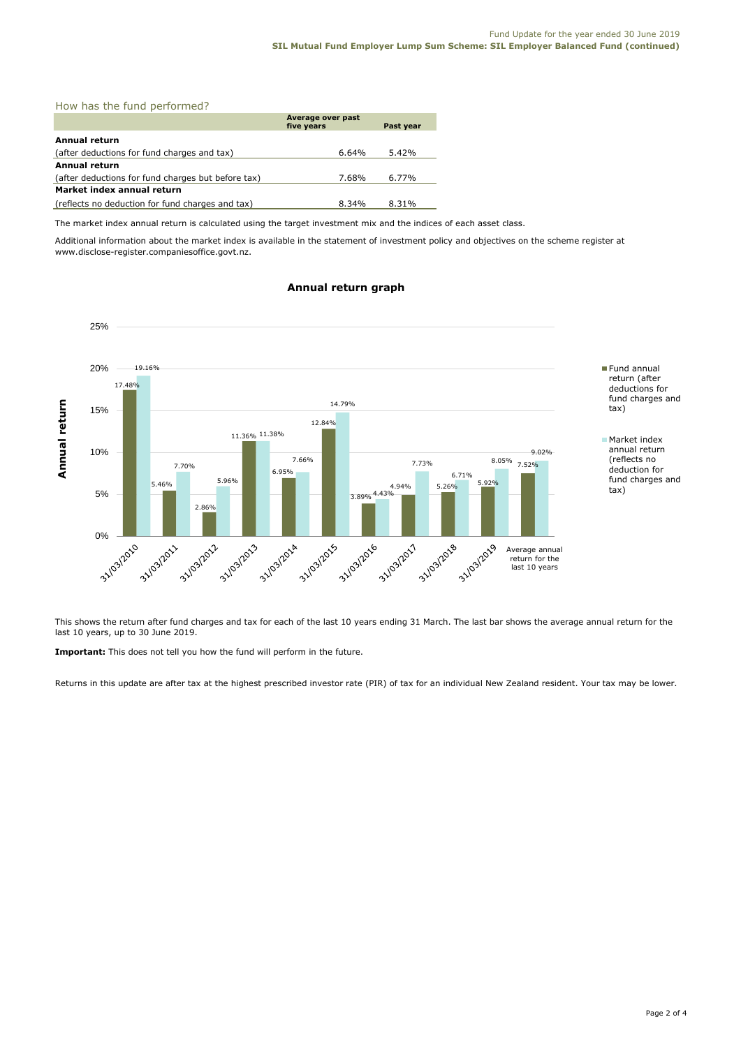|  |  |  |  | How has the fund performed? |
|--|--|--|--|-----------------------------|
|--|--|--|--|-----------------------------|

|                                                    | Average over past<br>five years | Past year |
|----------------------------------------------------|---------------------------------|-----------|
| Annual return                                      |                                 |           |
| (after deductions for fund charges and tax)        | 6.64%                           | 5.42%     |
| Annual return                                      |                                 |           |
| (after deductions for fund charges but before tax) | 7.68%                           | 6.77%     |
| Market index annual return                         |                                 |           |
| (reflects no deduction for fund charges and tax)   | 8.34%                           | 8.31%     |

The market index annual return is calculated using the target investment mix and the indices of each asset class.

Additional information about the market index is available in the statement of investment policy and objectives on the scheme register at www.disclose-register.companiesoffice.govt.nz.

# **Annual return graph**



This shows the return after fund charges and tax for each of the last 10 years ending 31 March. The last bar shows the average annual return for the last 10 years, up to 30 June 2019.

**Important:** This does not tell you how the fund will perform in the future.

Returns in this update are after tax at the highest prescribed investor rate (PIR) of tax for an individual New Zealand resident. Your tax may be lower.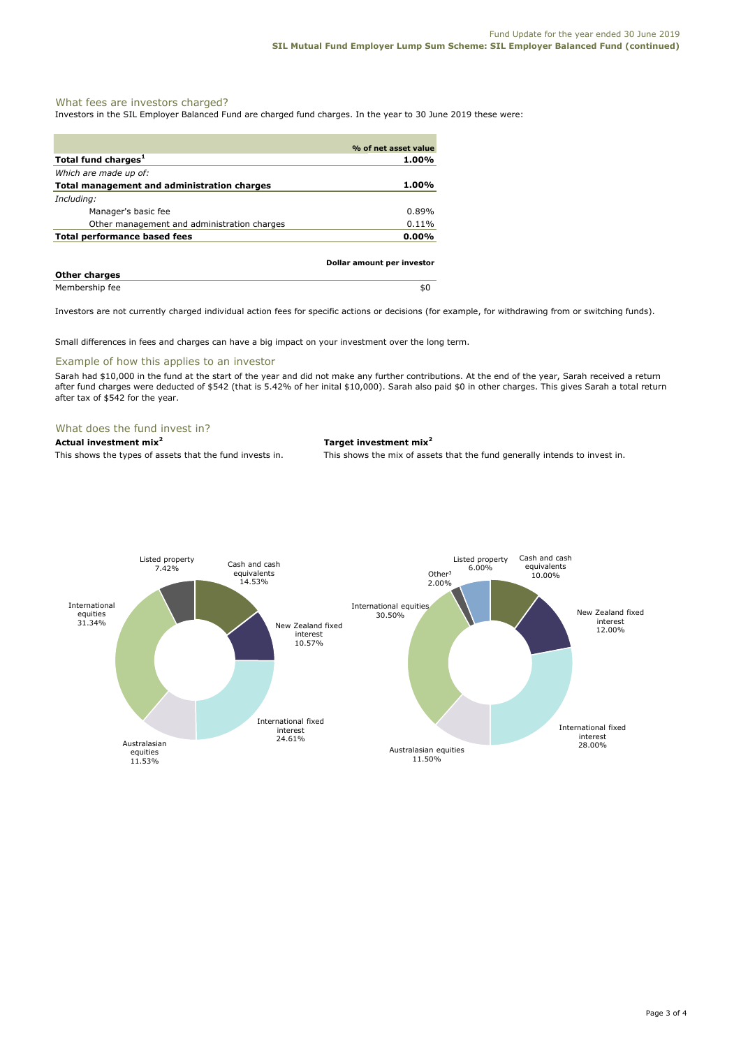# What fees are investors charged?

Investors in the SIL Employer Balanced Fund are charged fund charges. In the year to 30 June 2019 these were:

|                                             | % of net asset value       |
|---------------------------------------------|----------------------------|
| Total fund charges <sup>1</sup>             | 1.00%                      |
| Which are made up of:                       |                            |
| Total management and administration charges | 1.00%                      |
| Including:                                  |                            |
| Manager's basic fee                         | 0.89%                      |
| Other management and administration charges | 0.11%                      |
| Total performance based fees                | $0.00\%$                   |
|                                             | Dollar amount per investor |
| <b>Other charges</b>                        |                            |
| Membership fee                              | \$0                        |

Investors are not currently charged individual action fees for specific actions or decisions (for example, for withdrawing from or switching funds).

Small differences in fees and charges can have a big impact on your investment over the long term.

# Example of how this applies to an investor

Sarah had \$10,000 in the fund at the start of the year and did not make any further contributions. At the end of the year, Sarah received a return after fund charges were deducted of \$542 (that is 5.42% of her inital \$10,000). Sarah also paid \$0 in other charges. This gives Sarah a total return after tax of \$542 for the year.

# What does the fund invest in?

**Actual investment mix<sup>2</sup> Target investment mix<sup>2</sup>**

This shows the types of assets that the fund invests in. This shows the mix of assets that the fund generally intends to invest in.